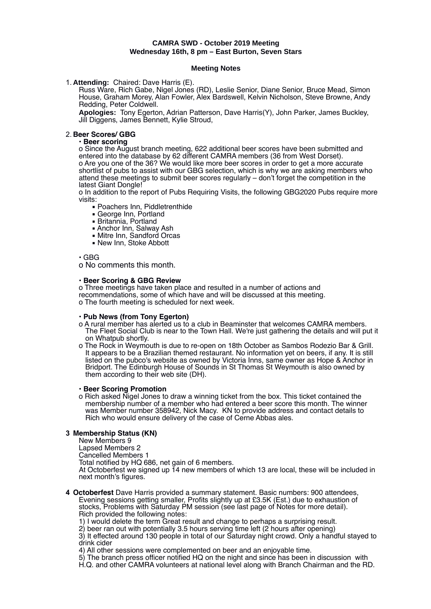#### **CAMRA SWD - October 2019 Meeting Wednesday 16th, 8 pm – East Burton, Seven Stars**

#### **Meeting Notes**

1. **Attending:** Chaired: Dave Harris (E).

Russ Ware, Rich Gabe, Nigel Jones (RD), Leslie Senior, Diane Senior, Bruce Mead, Simon House, Graham Morey, Alan Fowler, Alex Bardswell, Kelvin Nicholson, Steve Browne, Andy Redding, Peter Coldwell.

**Apologies:** Tony Egerton, Adrian Patterson, Dave Harris(Y), John Parker, James Buckley, Jill Diggens, James Bennett, Kylie Stroud,

#### 2. **Beer Scores/ GBG**

#### • **Beer scoring**

o Since the August branch meeting, 622 additional beer scores have been submitted and entered into the database by 62 different CAMRA members (36 from West Dorset). o Are you one of the 36? We would like more beer scores in order to get a more accurate shortlist of pubs to assist with our GBG selection, which is why we are asking members who attend these meetings to submit beer scores regularly – don't forget the competition in the latest Giant Dongle!

o In addition to the report of Pubs Requiring Visits, the following GBG2020 Pubs require more visits:

- Poachers Inn, Piddletrenthide
- George Inn, Portland
- Britannia, Portland
- Anchor Inn, Salway Ash
- Mitre Inn, Sandford Orcas
- New Inn, Stoke Abbott

• GBG

o No comments this month.

#### • **Beer Scoring & GBG Review**

o Three meetings have taken place and resulted in a number of actions and recommendations, some of which have and will be discussed at this meeting. o The fourth meeting is scheduled for next week.

### • **Pub News (from Tony Egerton)**

- o A rural member has alerted us to a club in Beaminster that welcomes CAMRA members. The Fleet Social Club is near to the Town Hall. We're just gathering the details and will put it on Whatpub shortly.
- o The Rock in Weymouth is due to re-open on 18th October as Sambos Rodezio Bar & Grill. It appears to be a Brazilian themed restaurant. No information yet on beers, if any. It is still listed on the pubco's website as owned by Victoria Inns, same owner as Hope & Anchor in Bridport. The Edinburgh House of Sounds in St Thomas St Weymouth is also owned by them according to their web site (DH).

#### • **Beer Scoring Promotion**

o Rich asked Nigel Jones to draw a winning ticket from the box. This ticket contained the membership number of a member who had entered a beer score this month. The winner was Member number 358942, Nick Macy. KN to provide address and contact details to Rich who would ensure delivery of the case of Cerne Abbas ales.

#### **3 Membership Status (KN)**

New Members 9

Lapsed Members 2

Cancelled Members 1

Total notified by HQ 686, net gain of 6 members.

At Octoberfest we signed up 14 new members of which 13 are local, these will be included in next month's figures.

**4 Octoberfest** Dave Harris provided a summary statement. Basic numbers: 900 attendees, Evening sessions getting smaller, Profits slightly up at £3.5K (Est.) due to exhaustion of stocks, Problems with Saturday PM session (see last page of Notes for more detail). Rich provided the following notes:

1) I would delete the term Great result and change to perhaps a surprising result.

2) beer ran out with potentially 3.5 hours serving time left (2 hours after opening)

3) It effected around 130 people in total of our Saturday night crowd. Only a handful stayed to drink cider

4) All other sessions were complemented on beer and an enjoyable time.

5) The branch press officer notified HQ on the night and since has been in discussion with H.Q. and other CAMRA volunteers at national level along with Branch Chairman and the RD.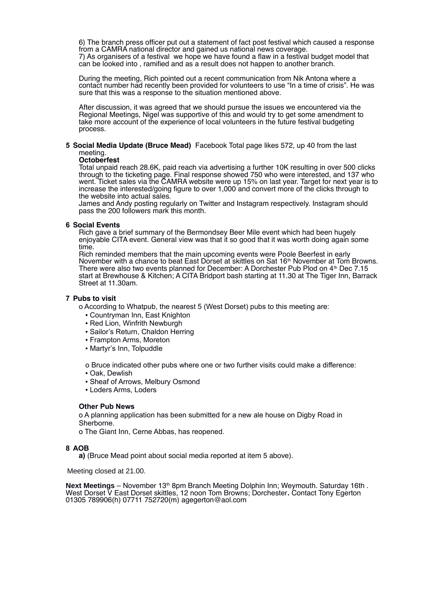6) The branch press officer put out a statement of fact post festival which caused a response from a CAMRA national director and gained us national news coverage. 7) As organisers of a festival we hope we have found a flaw in a festival budget model that can be looked into , ramified and as a result does not happen to another branch.

During the meeting, Rich pointed out a recent communication from Nik Antona where a contact number had recently been provided for volunteers to use "In a time of crisis". He was sure that this was a response to the situation mentioned above.

After discussion, it was agreed that we should pursue the issues we encountered via the Regional Meetings, Nigel was supportive of this and would try to get some amendment to take more account of the experience of local volunteers in the future festival budgeting process.

#### **5 Social Media Update (Bruce Mead)** Facebook Total page likes 572, up 40 from the last meeting.

#### **Octoberfest**

Total unpaid reach 28.6K, paid reach via advertising a further 10K resulting in over 500 clicks through to the ticketing page. Final response showed 750 who were interested, and 137 who went. Ticket sales via the CAMRA website were up 15% on last year. Target for next year is to increase the interested/going figure to over 1,000 and convert more of the clicks through to the website into actual sales.

James and Andy posting regularly on Twitter and Instagram respectively. Instagram should pass the 200 followers mark this month.

#### **6 Social Events**

Rich gave a brief summary of the Bermondsey Beer Mile event which had been hugely enjoyable CITA event. General view was that it so good that it was worth doing again some time.

Rich reminded members that the main upcoming events were Poole Beerfest in early November with a chance to beat East Dorset at skittles on Sat 16th November at Tom Browns. There were also two events planned for December: A Dorchester Pub Plod on 4<sup>th</sup> Dec 7.15 start at Brewhouse & Kitchen; A CITA Bridport bash starting at 11.30 at The Tiger Inn, Barrack Street at 11.30am.

#### **7 Pubs to visit**

o According to Whatpub, the nearest 5 (West Dorset) pubs to this meeting are:

- Countryman Inn, East Knighton
- Red Lion, Winfrith Newburgh
- Sailor's Return, Chaldon Herring
- Frampton Arms, Moreton
- Martyr's Inn, Tolpuddle

o Bruce indicated other pubs where one or two further visits could make a difference:

- Oak, Dewlish
- Sheaf of Arrows, Melbury Osmond
- Loders Arms, Loders

#### **Other Pub News**

o A planning application has been submitted for a new ale house on Digby Road in Sherborne.

o The Giant Inn, Cerne Abbas, has reopened.

#### **8 AOB**

**a)** (Bruce Mead point about social media reported at item 5 above).

Meeting closed at 21.00.

**Next Meetings** – November 13<sup>th</sup> 8pm Branch Meeting Dolphin Inn; Weymouth. Saturday 16th. West Dorset V East Dorset skittles, 12 noon Tom Browns; Dorchester**.** Contact Tony Egerton 01305 789906(h) 07711 752720(m) agegerton@aol.com